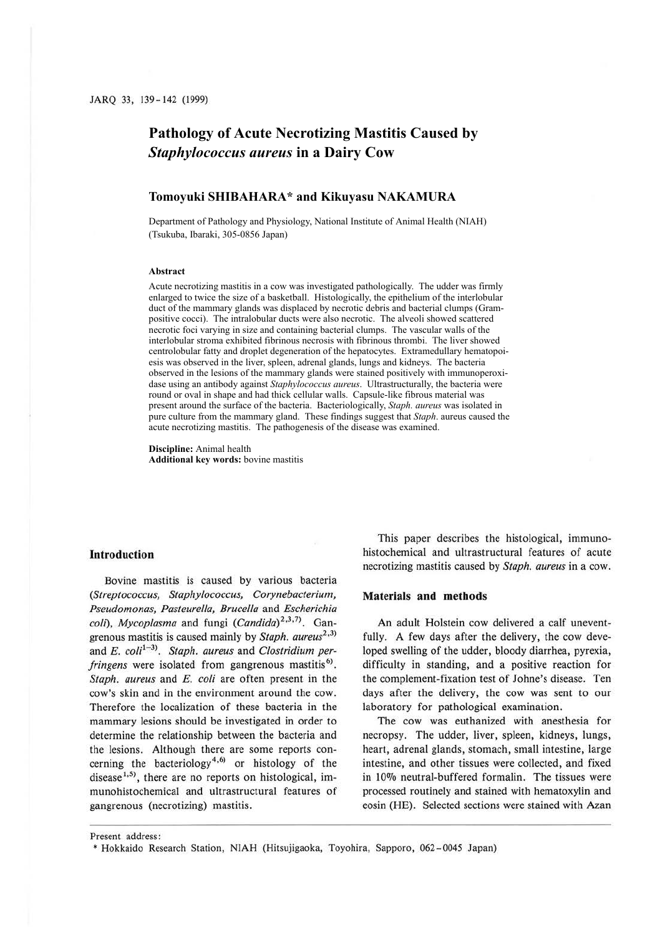# **Pathology of Acute Necrotizing Mastitis Caused by**  *Staphylococcus aureus* **in a Dairy Cow**

# **Tomoyuki SHIBAHARA\* and Kikuyasu NAKAMURA**

Department of Pathology and Physiology, National Institute of Animal Health (NIAH) (Tsukuba, Ibaraki, 305-0856 Japan)

#### **Abstract**

Acute necrotizing mastitis in a cow was investigated pathologically. The udder was firmly enlarged to twice the size of a basketball. Histologically, the epithelium of the interlobular duct of the mammary glands was displaced by necrotic debris and bacterial clumps (Grampositive cocci). The intralobular ducts were also necrotic. The alveoli showed scattered necrotic foci varying in size and containing bacterial clumps. The vascular walls of the interlobular stroma exhibited fibrinous necrosis with fibrinous thrombi. The liver showed centrolobular fatty and droplet degeneration of the hepatocytes. Extramedullary hematopoiesis was observed in the liver, spleen, adrenal glands, lungs and kidneys. The bacteria observed in the lesions of the mammary glands were stained positively with immunoperoxidase using an antibody against *Staphylococcus aureus*. Ultrastructurally, the bacteria were round or oval in shape and had thick cellular walls. Capsule-like fibrous material was present around the surface of the bacteria. Bacteriologically, *Staph. aureus* was isolated in pure culture from the mammary gland. These findings suggest that *Staph*. aureus caused the acute necrotizing mastitis. The pathogenesis of the disease was examined.

**Discipline:** Animal health **Additional key words:** bovine mastitis

#### **Introduction**

Bovine mastitis is caused by various bacteria *(Streptococcus, Staphylococcus, Corynebacterium, Pseudomonas, Pasteurella, Bruce/la* and *Escherichia colt), Mycoplasma* and fungi *(Candida)<sup>2</sup> • 3 • 1* >. Gangrenous mastitis is caused mainly by *Staph. aureus*<sup>2,3)</sup> and *E. coli*<sup>1-3)</sup>. *Staph. aureus* and *Clostridium per*fringens were isolated from gangrenous mastitis<sup>6)</sup>. *Staph. aureus* and *E. coli* are often present in the cow's skin and in the environment around the cow. Therefore the localization of these bacteria in the mammary lesions should be investigated in order to determine the relationship between the bacteria and the lesions. Although there are some reports concerning the bacteriology<sup>4,6)</sup> or histology of the disease<sup>1,5)</sup>, there are no reports on histological, immunohistochemical and ultrastructural features of gangrenous (necrotizing) mastitis.

This paper describes the histological, immunohistochemical and ultrastructural features of acute necrotizing mastitis caused by *Staph. aureus* in a cow.

### **Materials and methods**

An adult Holstein cow delivered a calf uneventfully. A few days after the delivery, the cow developed swelling of the udder, bloody diarrhea, pyrexia, difficulty in standing, and a positive reaction for the complement-fixation test of Johne's disease. Ten days after the delivery, the cow was sent to our laboratory for pathological examination.

The cow was euthanized with anesthesia for necropsy. The udder, liver, spleen, kidneys, lungs, heart, adrenal glands, stomach, small intestine, large intestine, and other tissues were collected, and fixed in 10% neutral-buffered formalin. The tissues were processed routinely and stained with hematoxylin and eosin (HE). Selected sections were stained with Azan

Present address :

<sup>•</sup> Hokkaido Research Station, **NIAH** (Hitsujigaoka, Toyohira, Sapporo, 062-0045 Japan)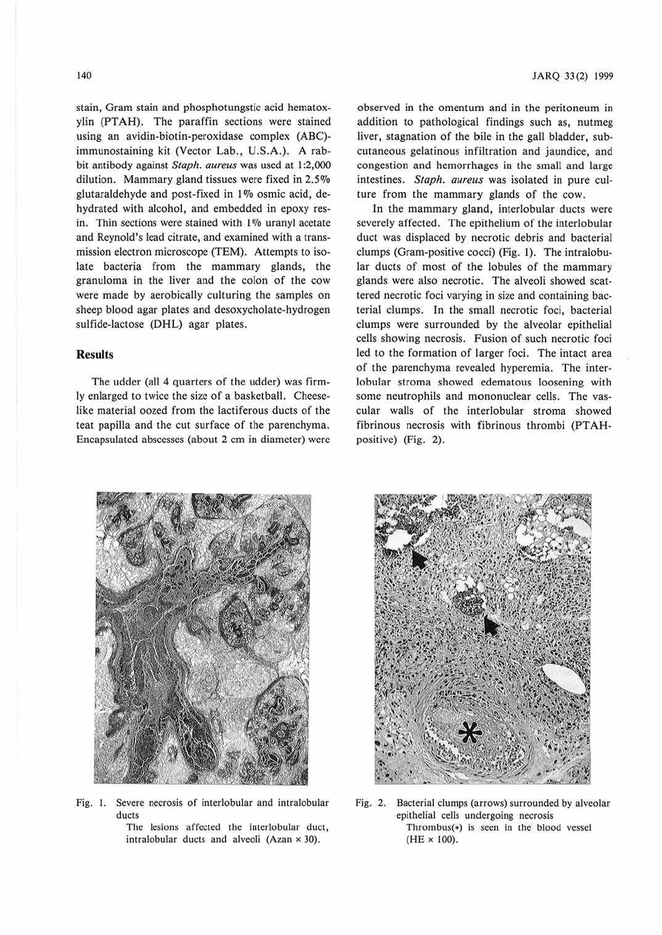stain, Gram stain and phosphotungstic acid hematoxylin (PTAH). The paraffin sections were stained using an avidin-biotin-peroxidase complex (ABC) immunostaining kit (Vector Lab., U.S.A.). A rabbit antibody against *Staph. aureus* was used at 1:2,000 dilution. Mammary gland tissues were fixed in  $2.5\%$ glutaraldehyde and post-fixed in  $1\%$  osmic acid, dehydrated with alcohol, and embedded in epoxy resin. Thin sections were stained with 1% uranyl acetate and Reynold's lead citrate, and examined with a transmission electron microscope (TEM). Attempts to isolate bacteria from the mammary glands, the granuloma in the liver and the colon of the cow were made by aerobically culturing the samples on sheep blood agar plates and desoxycholate-hydrogen sulfide-lactose (DHL) agar plates.

## **Results**

The udder (all 4 quarters of the udder) was firmly enlarged to twice the size of a basketball. Cheeselike material oozed from the lactiferous ducts of the teat papilla and the cut surface of the parenchyma. Encapsulated abscesses (about 2 cm in diameter) were

observed in the omentum and in the peritoneum in addition to pathological findings such as, nutmeg liver, stagnation of the bile in the gall bladder, subcutaneous gelatinous infiltration and jaundice, and congestion and hemorrhages in the small and large intestines. *Staph. aureus* was isolated in pure culture from the mammary glands of the cow.

Jn the mammary gland, interlobular ducts were severely affected. The epithelium of the interlobular duct was displaced by necrotic debris and bacterial clumps (Gram-positive cocci) (Fig. 1). The intralobular ducts of most of the lobules of the mammary glands were also necrotic. The alveoli showed scattered necrotic foci varying in size and containing bacterial clumps. In the small necrotic foci, bacterial clumps were surrounded by the alveolar epithelial cells showing necrosis. Fusion of such necrotic foci led to the formation of larger foci. The intact area of the parenchyma revealed hyperemia. The interlobular stroma showed edematous loosening with some neutrophils and mononuclear cells. The vascular walls of the interlobular stroma showed fibrinous necrosis with fibrinous thrombi (PTAHpositive) (Fig. 2).



Fig. I. Severe necrosis of interlobular and intralobular ducts

> The lesions affected the interlobular duct, intralobular ducts and alveoli (Azan  $\times$  30).



Fig. 2. Bacterial clumps (arrows) surrounded by alveolar epithelial cells undergoing necrosis Thrombus(•) is seen in the blood vessel (HE x 100).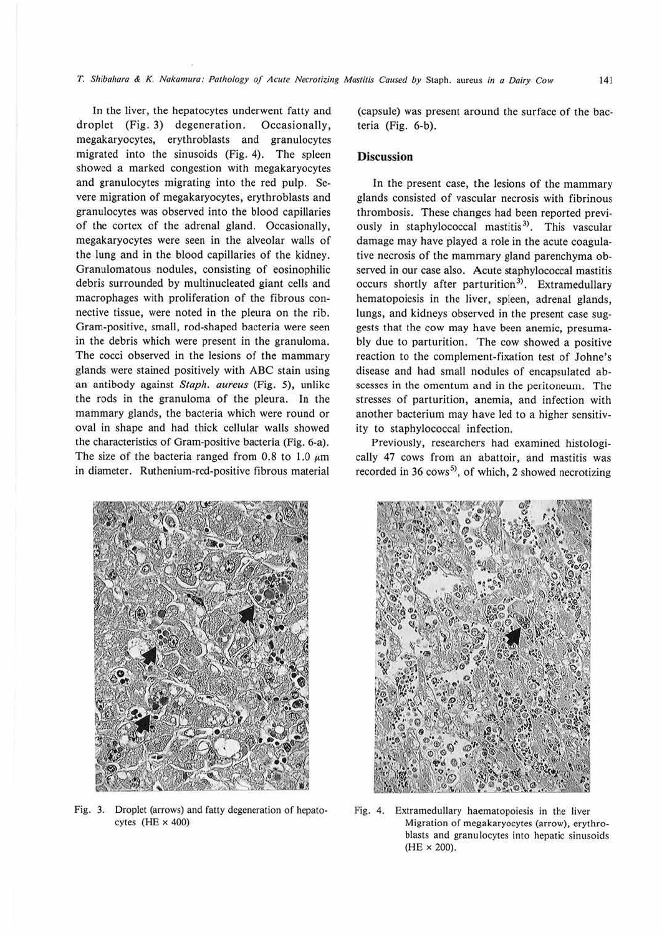In the liver, the hepatocytes underwent fatty and droplet (Fig. 3) degeneration. Occasionally, megakaryocytes, erythroblasts aad granulocytes migrated into the sinusoids (Fig. 4). The spleen showed a marked congestion with megakaryocytes and granulocytes migrating into the red pulp. Severe migration of megakaryocytes, erythroblasts and granulocytes was observed into the blood capillaries of the cortex of the adrenal gland. Occasionally, megakaryocytes were seen in the alveolar walls of the lung and in the blood capillaries of the kidney. Granulomatous nodules, consisting of eosinophilic debris surrounded by multinucleaced giant cells and macrophages with proliferation of the fibrous connective tissue, were noted in the pleura on the rib. Gram-positive, small, rod-shaped bacteria were seen in the debris which were present in the granuloma. The cocci observed in the lesions of the mammary glands were stained positively with ABC stain using an antibody against *Staph. aureus* (Fig. 5), unlike the rods in the granuloma of the pleura. In the mammary glands, the bacteria which were round or oval in shape and had thick cellular walls showed the characteristics of Gram-positive bacteria (Fig. 6-a). The size of the bacteria ranged from 0.8 to 1.0  $\mu$ m in diameter. Ruthenium-red-positive fibrous material

(capsule) was present around the surface of the bacteria (Fig. 6-b).

#### **Discussion**

In the present case, the lesions of the mammary glands consisted of vascular necrosis with fibrinous thrombosis. These changes had been reported previously in staphylococcal mastitis<sup>3)</sup>. This vascular damage may have played a role in the acute coagulative necrosis of the mammary gland parenchyma observed in our case also. Acute staphylococcal mastitis occurs shortly after parturition<sup>3)</sup>. Extramedullary hematopoiesis in the liver, spleen, adrenal glands, lungs, and kidneys observed in the present case suggests that the cow may have been anemic, presumably due to parturition. The cow showed a positive reaction to the complement-fixation test of Johne's disease and had small nodules of encapsulated abscesses in the omentum and in the peritoneum. The stresses of parturition, anemia, and infection with another bacterium may have led to a higher sensitivity to staphylococcal infection.

Previously, researchers had examined histologically 47 cows from an abattoir, and mastitis was recorded in 36 cows<sup>5)</sup>, of which, 2 showed necrotizing



Fig. 3. Droplet (arrows) and fatty degeneration of hepatocytes  $(HE \times 400)$ 



Fig. 4. Extramedullary haematopoiesis in the liver Migration of megakaryocytes (arrow), erythroblasts and granulocytes into hepatic sinusoids  $(HE \times 200)$ .